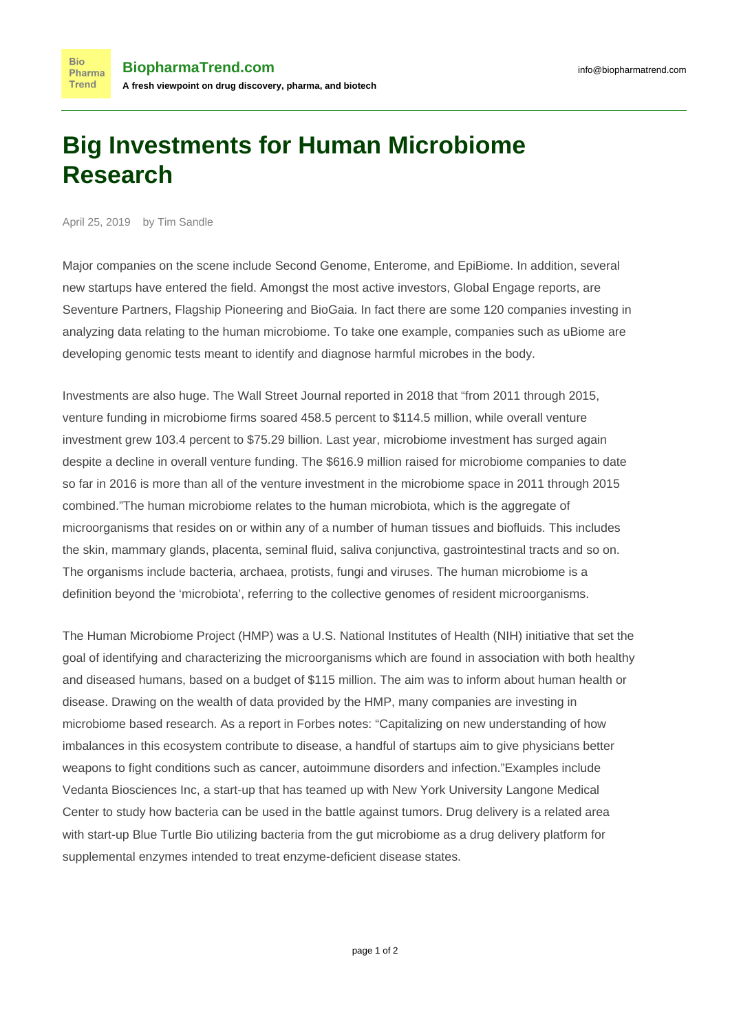## **Big Investments for Human Microbiome Research**

April 25, 2019 by Tim Sandle

**Bio** 

Trend

Major companies on the scene include Second Genome, Enterome, and EpiBiome. In addition, several new startups have entered the field. Amongst the most active investors, [Global Engage reports](http://www.global-engage.com/life-science/list-of-microbiome-companies-and-investors/), are Seventure Partners, Flagship Pioneering and BioGaia. In fact [there are some 120 companies investing](http://blog.globalengage.co.uk/list-microbiome-companies-investors) in analyzing data relating to the human microbiome. To take one example, companies [such as uBiome](https://www.cbinsights.com/blog/microbiome-startups-market-map-company-list/) are developing genomic tests meant to identify and diagnose harmful microbes in the body.

Investments are also huge. [The Wall Street Journal reported](https://www.wsj.com/articles/microbiome-companies-attract-big-investments-1474250460) in 2018 that "from 2011 through 2015, venture funding in microbiome firms soared 458.5 percent to \$114.5 million, while overall venture investment grew 103.4 percent to \$75.29 billion. Last year, microbiome investment has surged again despite a decline in overall venture funding. The \$616.9 million raised for microbiome companies to date so far in 2016 is more than all of the venture investment in the microbiome space in 2011 through 2015 combined."The [human microbiome relates to](http://www.pharmamicroresources.com/2013/07/implications-of-human-microbiome-on.html) the human microbiota, which is the aggregate of microorganisms that resides on or within any of a number of human tissues and biofluids. This includes the skin, mammary glands, placenta, seminal fluid, saliva conjunctiva, gastrointestinal tracts and so on. The organisms include bacteria, archaea, protists, fungi and viruses. The human microbiome is a definition beyond the 'microbiota', referring to the collective genomes of resident microorganisms.

The Human Microbiome Project (HMP) [was a U.S. National Institutes of Health \(NIH\) initiative](http://hmpdacc.org/) that set the goal of identifying and characterizing the microorganisms which are found in association with both healthy and diseased humans, based on a budget of \$115 million. The aim was to inform about human health or disease. Drawing on the wealth of data provided by the HMP, many companies are investing in microbiome based research. [As a report in Forbes notes:](https://www.wsj.com/articles/microbiome-companies-attract-big-investments-1474250460) "Capitalizing on new understanding of how imbalances in this ecosystem contribute to disease, a handful of startups aim to give physicians better weapons to fight conditions such as cancer, autoimmune disorders and infection."Examples [include](http://www.vedantabio.com/about-us/) [Vedanta Biosciences Inc](http://www.vedantabio.com/about-us/), a start-up that has teamed up with New York University Langone Medical Center to study how bacteria can be used in the battle against tumors. Drug delivery is a related area with [start-up Blue Turtle Bio](https://www.cbinsights.com/blog/microbiome-startups-market-map-company-list/) utilizing bacteria from the gut microbiome as a drug delivery platform for supplemental enzymes intended to treat enzyme-deficient disease states.